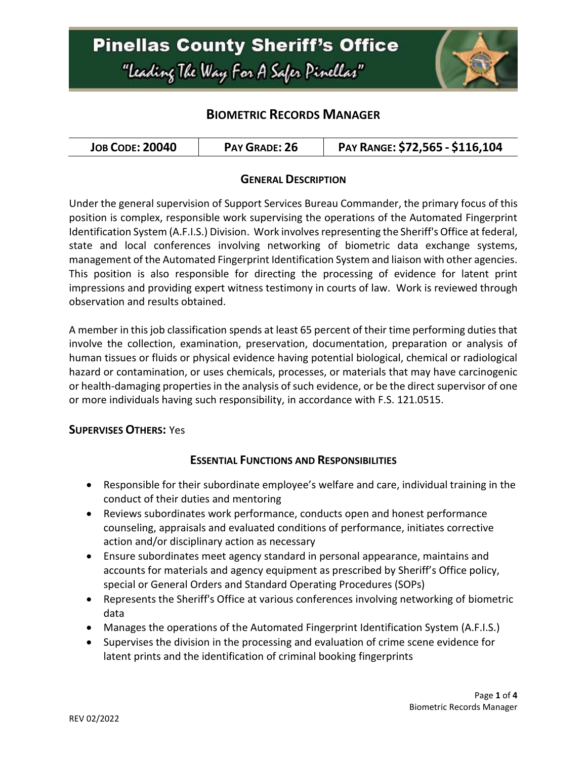## **Pinellas County Sheriff's Office** "Leading The Way For A Safer Pinellar"



### **BIOMETRIC RECORDS MANAGER**

### **GENERAL DESCRIPTION**

Under the general supervision of Support Services Bureau Commander, the primary focus of this position is complex, responsible work supervising the operations of the Automated Fingerprint Identification System (A.F.I.S.) Division. Work involves representing the Sheriff's Office at federal, state and local conferences involving networking of biometric data exchange systems, management of the Automated Fingerprint Identification System and liaison with other agencies. This position is also responsible for directing the processing of evidence for latent print impressions and providing expert witness testimony in courts of law. Work is reviewed through observation and results obtained.

A member in this job classification spends at least 65 percent of their time performing duties that involve the collection, examination, preservation, documentation, preparation or analysis of human tissues or fluids or physical evidence having potential biological, chemical or radiological hazard or contamination, or uses chemicals, processes, or materials that may have carcinogenic or health-damaging properties in the analysis of such evidence, or be the direct supervisor of one or more individuals having such responsibility, in accordance with F.S. 121.0515.

#### **SUPERVISES OTHERS:** Yes

### **ESSENTIAL FUNCTIONS AND RESPONSIBILITIES**

- Responsible for their subordinate employee's welfare and care, individual training in the conduct of their duties and mentoring
- Reviews subordinates work performance, conducts open and honest performance counseling, appraisals and evaluated conditions of performance, initiates corrective action and/or disciplinary action as necessary
- Ensure subordinates meet agency standard in personal appearance, maintains and accounts for materials and agency equipment as prescribed by Sheriff's Office policy, special or General Orders and Standard Operating Procedures (SOPs)
- Represents the Sheriff's Office at various conferences involving networking of biometric data
- Manages the operations of the Automated Fingerprint Identification System (A.F.I.S.)
- Supervises the division in the processing and evaluation of crime scene evidence for latent prints and the identification of criminal booking fingerprints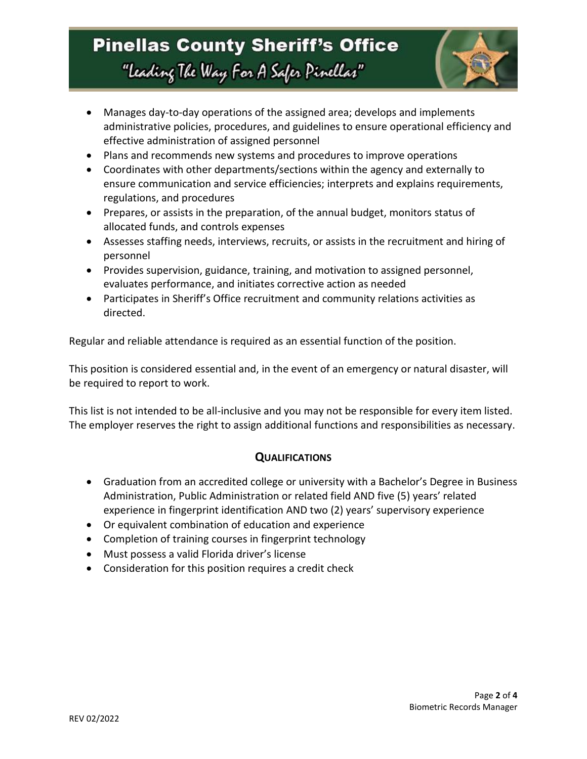## **Pinellas County Sheriff's Office** "Leading The Way For A Safer Pinellar"



- Manages day-to-day operations of the assigned area; develops and implements administrative policies, procedures, and guidelines to ensure operational efficiency and effective administration of assigned personnel
- Plans and recommends new systems and procedures to improve operations
- Coordinates with other departments/sections within the agency and externally to ensure communication and service efficiencies; interprets and explains requirements, regulations, and procedures
- Prepares, or assists in the preparation, of the annual budget, monitors status of allocated funds, and controls expenses
- Assesses staffing needs, interviews, recruits, or assists in the recruitment and hiring of personnel
- Provides supervision, guidance, training, and motivation to assigned personnel, evaluates performance, and initiates corrective action as needed
- Participates in Sheriff's Office recruitment and community relations activities as directed.

Regular and reliable attendance is required as an essential function of the position.

This position is considered essential and, in the event of an emergency or natural disaster, will be required to report to work.

This list is not intended to be all-inclusive and you may not be responsible for every item listed. The employer reserves the right to assign additional functions and responsibilities as necessary.

### **QUALIFICATIONS**

- Graduation from an accredited college or university with a Bachelor's Degree in Business Administration, Public Administration or related field AND five (5) years' related experience in fingerprint identification AND two (2) years' supervisory experience
- Or equivalent combination of education and experience
- Completion of training courses in fingerprint technology
- Must possess a valid Florida driver's license
- Consideration for this position requires a credit check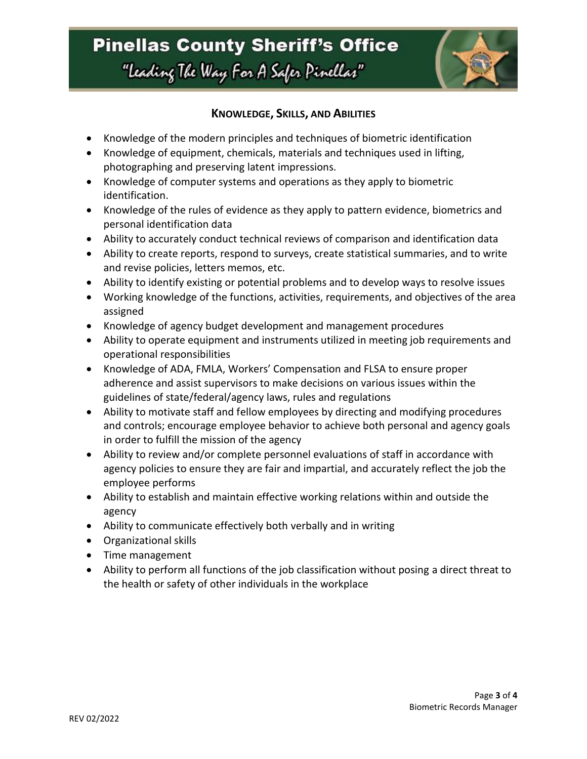

### **KNOWLEDGE, SKILLS, AND ABILITIES**

- Knowledge of the modern principles and techniques of biometric identification
- Knowledge of equipment, chemicals, materials and techniques used in lifting, photographing and preserving latent impressions.
- Knowledge of computer systems and operations as they apply to biometric identification.
- Knowledge of the rules of evidence as they apply to pattern evidence, biometrics and personal identification data
- Ability to accurately conduct technical reviews of comparison and identification data
- Ability to create reports, respond to surveys, create statistical summaries, and to write and revise policies, letters memos, etc.
- Ability to identify existing or potential problems and to develop ways to resolve issues
- Working knowledge of the functions, activities, requirements, and objectives of the area assigned
- Knowledge of agency budget development and management procedures
- Ability to operate equipment and instruments utilized in meeting job requirements and operational responsibilities
- Knowledge of ADA, FMLA, Workers' Compensation and FLSA to ensure proper adherence and assist supervisors to make decisions on various issues within the guidelines of state/federal/agency laws, rules and regulations
- Ability to motivate staff and fellow employees by directing and modifying procedures and controls; encourage employee behavior to achieve both personal and agency goals in order to fulfill the mission of the agency
- Ability to review and/or complete personnel evaluations of staff in accordance with agency policies to ensure they are fair and impartial, and accurately reflect the job the employee performs
- Ability to establish and maintain effective working relations within and outside the agency
- Ability to communicate effectively both verbally and in writing
- Organizational skills
- Time management
- Ability to perform all functions of the job classification without posing a direct threat to the health or safety of other individuals in the workplace